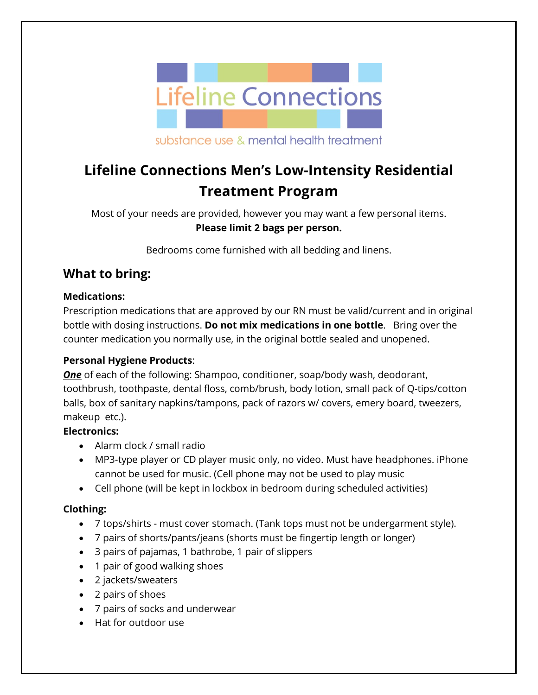

substance use & mental health treatment

# **Lifeline Connections Men's Low-Intensity Residential Treatment Program**

Most of your needs are provided, however you may want a few personal items. **Please limit 2 bags per person.**

Bedrooms come furnished with all bedding and linens.

# **What to bring:**

## **Medications:**

Prescription medications that are approved by our RN must be valid/current and in original bottle with dosing instructions. **Do not mix medications in one bottle**. Bring over the counter medication you normally use, in the original bottle sealed and unopened.

## **Personal Hygiene Products**:

*One* of each of the following: Shampoo, conditioner, soap/body wash, deodorant, toothbrush, toothpaste, dental floss, comb/brush, body lotion, small pack of Q-tips/cotton balls, box of sanitary napkins/tampons, pack of razors w/ covers, emery board, tweezers, makeup etc.).

## **Electronics:**

- Alarm clock / small radio
- MP3-type player or CD player music only, no video. Must have headphones. iPhone cannot be used for music. (Cell phone may not be used to play music
- Cell phone (will be kept in lockbox in bedroom during scheduled activities)

#### **Clothing:**

- 7 tops/shirts must cover stomach. (Tank tops must not be undergarment style).
- 7 pairs of shorts/pants/jeans (shorts must be fingertip length or longer)
- 3 pairs of pajamas, 1 bathrobe, 1 pair of slippers
- 1 pair of good walking shoes
- 2 jackets/sweaters
- 2 pairs of shoes
- 7 pairs of socks and underwear
- Hat for outdoor use